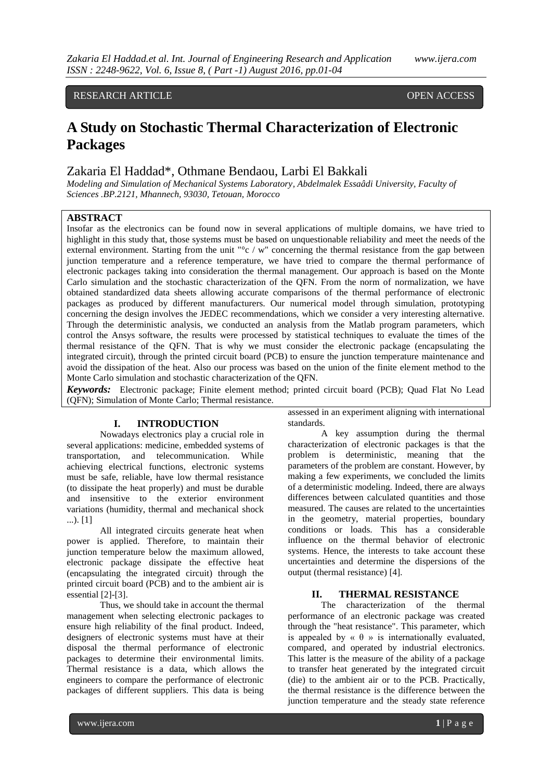# RESEARCH ARTICLE **OPEN ACCESS**

# **A Study on Stochastic Thermal Characterization of Electronic Packages**

# Zakaria El Haddad\*, Othmane Bendaou, Larbi El Bakkali

*Modeling and Simulation of Mechanical Systems Laboratory, Abdelmalek Essaâdi University, Faculty of Sciences .BP.2121, Mhannech, 93030, Tetouan, Morocco*

## **ABSTRACT**

Insofar as the electronics can be found now in several applications of multiple domains, we have tried to highlight in this study that, those systems must be based on unquestionable reliability and meet the needs of the external environment. Starting from the unit "°c / w" concerning the thermal resistance from the gap between junction temperature and a reference temperature, we have tried to compare the thermal performance of electronic packages taking into consideration the thermal management. Our approach is based on the Monte Carlo simulation and the stochastic characterization of the QFN. From the norm of normalization, we have obtained standardized data sheets allowing accurate comparisons of the thermal performance of electronic packages as produced by different manufacturers. Our numerical model through simulation, prototyping concerning the design involves the JEDEC recommendations, which we consider a very interesting alternative. Through the deterministic analysis, we conducted an analysis from the Matlab program parameters, which control the Ansys software, the results were processed by statistical techniques to evaluate the times of the thermal resistance of the QFN. That is why we must consider the electronic package (encapsulating the integrated circuit), through the printed circuit board (PCB) to ensure the junction temperature maintenance and avoid the dissipation of the heat. Also our process was based on the union of the finite element method to the Monte Carlo simulation and stochastic characterization of the QFN.

*Keywords:* Electronic package; Finite element method; printed circuit board (PCB); Quad Flat No Lead (QFN); Simulation of Monte Carlo; Thermal resistance.

#### **I. INTRODUCTION**

Nowadays electronics play a crucial role in several applications: medicine, embedded systems of transportation, and telecommunication. While achieving electrical functions, electronic systems must be safe, reliable, have low thermal resistance (to dissipate the heat properly) and must be durable and insensitive to the exterior environment variations (humidity, thermal and mechanical shock ...). [1]

All integrated circuits generate heat when power is applied. Therefore, to maintain their junction temperature below the maximum allowed, electronic package dissipate the effective heat (encapsulating the integrated circuit) through the printed circuit board (PCB) and to the ambient air is essential [2]-[3].

Thus, we should take in account the thermal management when selecting electronic packages to ensure high reliability of the final product. Indeed, designers of electronic systems must have at their disposal the thermal performance of electronic packages to determine their environmental limits. Thermal resistance is a data, which allows the engineers to compare the performance of electronic packages of different suppliers. This data is being

assessed in an experiment aligning with international standards.

A key assumption during the thermal characterization of electronic packages is that the problem is deterministic, meaning that the parameters of the problem are constant. However, by making a few experiments, we concluded the limits of a deterministic modeling. Indeed, there are always differences between calculated quantities and those measured. The causes are related to the uncertainties in the geometry, material properties, boundary conditions or loads. This has a considerable influence on the thermal behavior of electronic systems. Hence, the interests to take account these uncertainties and determine the dispersions of the output (thermal resistance) [4].

## **II. THERMAL RESISTANCE**

The characterization of the thermal performance of an electronic package was created through the "heat resistance". This parameter, which is appealed by  $\langle \theta \rangle$  is internationally evaluated, compared, and operated by industrial electronics. This latter is the measure of the ability of a package to transfer heat generated by the integrated circuit (die) to the ambient air or to the PCB. Practically, the thermal resistance is the difference between the junction temperature and the steady state reference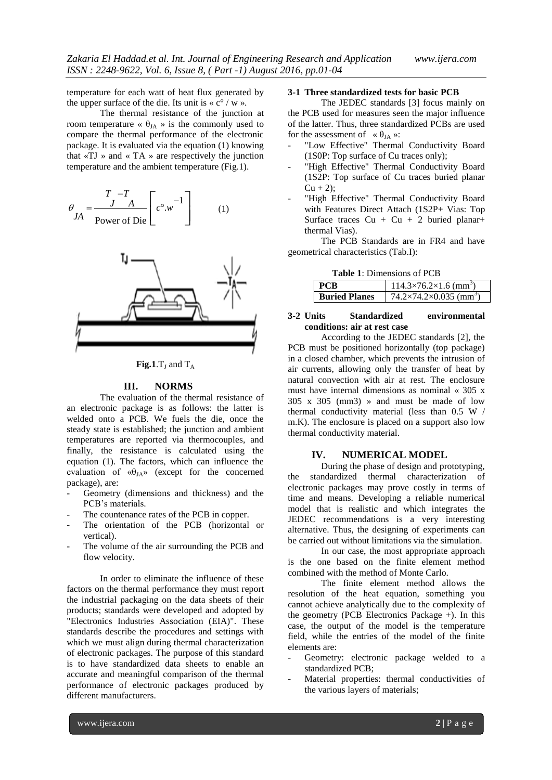temperature for each watt of heat flux generated by the upper surface of the die. Its unit is  $\ll c^{\circ}/w \gg$ .

The thermal resistance of the junction at room temperature «  $\theta_{JA}$  » is the commonly used to compare the thermal performance of the electronic package. It is evaluated via the equation (1) knowing that  $\langle TJ \rangle$  and  $\langle TA \rangle$  are respectively the junction temperature and the ambient temperature (Fig.1).

$$
\theta_{JA} = \frac{T - T}{Power \text{ of Die}} \left[ c^{\circ}.w^{-1} \right]
$$
 (1)





#### **III. NORMS**

The evaluation of the thermal resistance of an electronic package is as follows: the latter is welded onto a PCB. We fuels the die, once the steady state is established; the junction and ambient temperatures are reported via thermocouples, and finally, the resistance is calculated using the equation (1). The factors, which can influence the evaluation of  $\langle \theta_{JA} \rangle$  (except for the concerned package), are:

- Geometry (dimensions and thickness) and the PCB's materials.
- The countenance rates of the PCB in copper.
- The orientation of the PCB (horizontal or vertical).
- The volume of the air surrounding the PCB and flow velocity.

In order to eliminate the influence of these factors on the thermal performance they must report the industrial packaging on the data sheets of their products; standards were developed and adopted by "Electronics Industries Association (EIA)". These standards describe the procedures and settings with which we must align during thermal characterization of electronic packages. The purpose of this standard is to have standardized data sheets to enable an accurate and meaningful comparison of the thermal performance of electronic packages produced by different manufacturers.

## **3-1 Three standardized tests for basic PCB**

The JEDEC standards [3] focus mainly on the PCB used for measures seen the major influence of the latter. Thus, three standardized PCBs are used for the assessment of  $\alpha \theta_{JA} \gg$ :

- "Low Effective" Thermal Conductivity Board (1S0P: Top surface of Cu traces only);
- "High Effective" Thermal Conductivity Board (1S2P: Top surface of Cu traces buried planar  $Cu + 2$ ;
- "High Effective" Thermal Conductivity Board with Features Direct Attach (1S2P+ Vias: Top Surface traces Cu + Cu + 2 buried planar+ thermal Vias).

The PCB Standards are in FR4 and have geometrical characteristics (Tab.I):

| <b>Table 1:</b> Dimensions of PCB |  |
|-----------------------------------|--|
|-----------------------------------|--|

|                      | $14.3\times76.2\times1.6$ (mm <sup>3</sup> )  |
|----------------------|-----------------------------------------------|
| <b>Buried Planes</b> | $74.2\times74.2\times0.035$ (mm <sup>3)</sup> |

#### **3-2 Units Standardized environmental conditions: air at rest case**

According to the JEDEC standards [2], the PCB must be positioned horizontally (top package) in a closed chamber, which prevents the intrusion of air currents, allowing only the transfer of heat by natural convection with air at rest. The enclosure must have internal dimensions as nominal « 305 x  $305 \times 305$  (mm3) » and must be made of low thermal conductivity material (less than 0.5 W / m.K). The enclosure is placed on a support also low thermal conductivity material.

#### **IV. NUMERICAL MODEL**

During the phase of design and prototyping, the standardized thermal characterization of electronic packages may prove costly in terms of time and means. Developing a reliable numerical model that is realistic and which integrates the JEDEC recommendations is a very interesting alternative. Thus, the designing of experiments can be carried out without limitations via the simulation.

In our case, the most appropriate approach is the one based on the finite element method combined with the method of Monte Carlo.

The finite element method allows the resolution of the heat equation, something you cannot achieve analytically due to the complexity of the geometry (PCB Electronics Package +). In this case, the output of the model is the temperature field, while the entries of the model of the finite elements are:

- Geometry: electronic package welded to a standardized PCB;
- Material properties: thermal conductivities of the various layers of materials;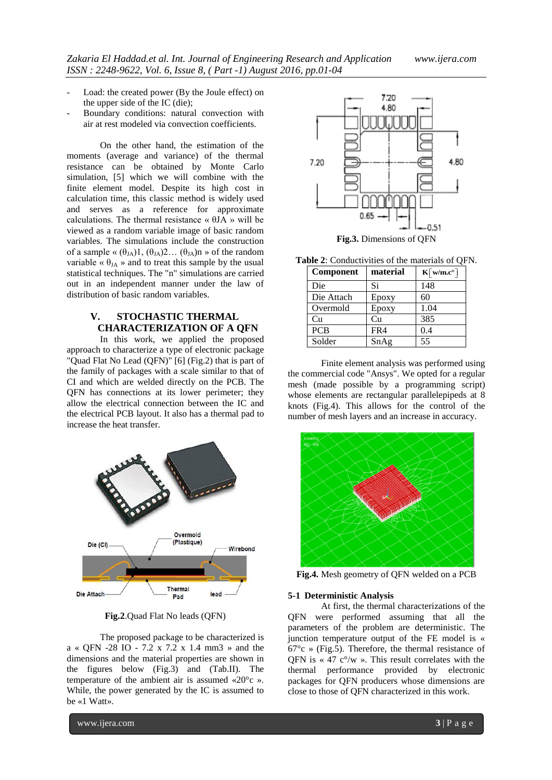- Load: the created power (By the Joule effect) on the upper side of the IC (die);
- Boundary conditions: natural convection with air at rest modeled via convection coefficients.

On the other hand, the estimation of the moments (average and variance) of the thermal resistance can be obtained by Monte Carlo simulation, [5] which we will combine with the finite element model. Despite its high cost in calculation time, this classic method is widely used and serves as a reference for approximate calculations. The thermal resistance « θJA » will be viewed as a random variable image of basic random variables. The simulations include the construction of a sample «  $(\theta_{JA})1, (\theta_{JA})2...$   $(\theta_{JA})n \gg$  of the random variable «  $\theta_{JA}$  » and to treat this sample by the usual statistical techniques. The "n" simulations are carried out in an independent manner under the law of distribution of basic random variables.

# **V. STOCHASTIC THERMAL CHARACTERIZATION OF A QFN**

In this work, we applied the proposed approach to characterize a type of electronic package "Quad Flat No Lead (QFN)" [6] (Fig.2) that is part of the family of packages with a scale similar to that of CI and which are welded directly on the PCB. The QFN has connections at its lower perimeter; they allow the electrical connection between the IC and the electrical PCB layout. It also has a thermal pad to increase the heat transfer.



**Fig.2**.Quad Flat No leads (QFN)

The proposed package to be characterized is a « QFN -28 IO - 7.2 x 7.2 x 1.4 mm3 » and the dimensions and the material properties are shown in the figures below (Fig.3) and (Tab.II). The temperature of the ambient air is assumed «20°c ». While, the power generated by the IC is assumed to be «1 Watt».



**Table 2**: Conductivities of the materials of QFN.

| Component  | material | $\mathbf{K} \lceil \mathbf{w}/\mathbf{m} \cdot \mathbf{c}^{\circ} \rceil$ |
|------------|----------|---------------------------------------------------------------------------|
| Die        | Si       | 148                                                                       |
| Die Attach | Epoxy    | 60                                                                        |
| Overmold   | Epoxy    | 1.04                                                                      |
| Cu         | Cu       | 385                                                                       |
| <b>PCB</b> | FR4      | 0.4                                                                       |
| Solder     | SnAg     | 55                                                                        |

Finite element analysis was performed using the commercial code "Ansys". We opted for a regular mesh (made possible by a programming script) whose elements are rectangular parallelepipeds at 8 knots (Fig.4). This allows for the control of the number of mesh layers and an increase in accuracy.



**Fig.4.** Mesh geometry of QFN welded on a PCB

#### **5-1 Deterministic Analysis**

At first, the thermal characterizations of the QFN were performed assuming that all the parameters of the problem are deterministic. The junction temperature output of the FE model is «  $67^{\circ}$ c » (Fig.5). Therefore, the thermal resistance of QFN is  $\lt \lt 47$  c<sup>o</sup>/w ». This result correlates with the thermal performance provided by electronic packages for QFN producers whose dimensions are close to those of QFN characterized in this work.